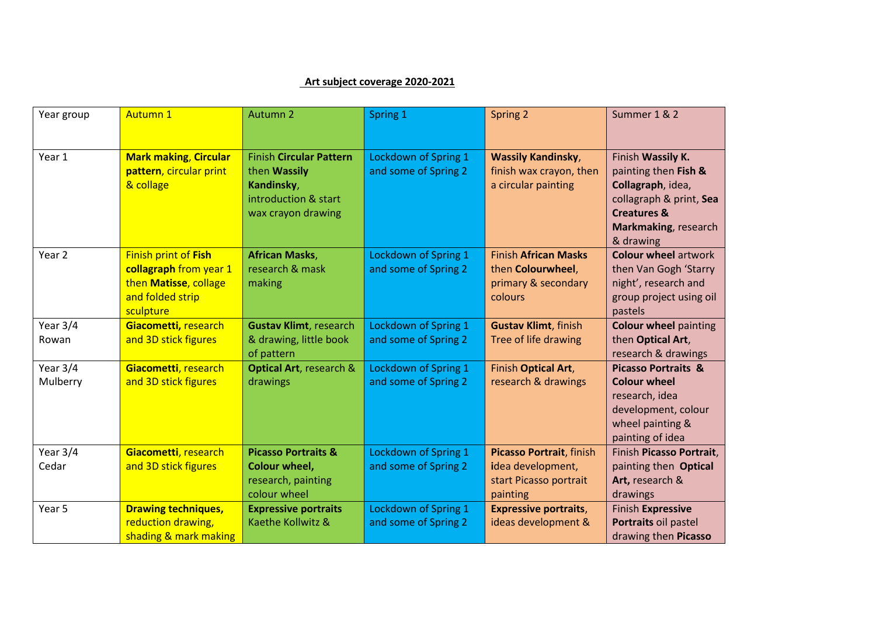## **Art subject coverage 2020-2021**

| Year group           | <b>Autumn 1</b>                                                                                                 | Autumn 2                                                                                                   | Spring 1                                            | Spring 2                                                                            | Summer 1 & 2                                                                                                                                             |
|----------------------|-----------------------------------------------------------------------------------------------------------------|------------------------------------------------------------------------------------------------------------|-----------------------------------------------------|-------------------------------------------------------------------------------------|----------------------------------------------------------------------------------------------------------------------------------------------------------|
| Year 1               | <b>Mark making, Circular</b><br>pattern, circular print<br>& collage                                            | <b>Finish Circular Pattern</b><br>then Wassily<br>Kandinsky,<br>introduction & start<br>wax crayon drawing | Lockdown of Spring 1<br>and some of Spring 2        | <b>Wassily Kandinsky,</b><br>finish wax crayon, then<br>a circular painting         | Finish Wassily K.<br>painting then Fish &<br>Collagraph, idea,<br>collagraph & print, Sea<br><b>Creatures &amp;</b><br>Markmaking, research<br>& drawing |
| Year 2               | <b>Finish print of Fish</b><br>collagraph from year 1<br>then Matisse, collage<br>and folded strip<br>sculpture | <b>African Masks,</b><br>research & mask<br>making                                                         | Lockdown of Spring 1<br>and some of Spring 2        | <b>Finish African Masks</b><br>then Colourwheel,<br>primary & secondary<br>colours  | <b>Colour wheel artwork</b><br>then Van Gogh 'Starry<br>night', research and<br>group project using oil<br>pastels                                       |
| Year 3/4<br>Rowan    | Giacometti, research<br>and 3D stick figures                                                                    | <b>Gustav Klimt, research</b><br>& drawing, little book<br>of pattern                                      | Lockdown of Spring 1<br>and some of Spring 2        | <b>Gustav Klimt, finish</b><br>Tree of life drawing                                 | <b>Colour wheel painting</b><br>then Optical Art,<br>research & drawings                                                                                 |
| Year 3/4<br>Mulberry | Giacometti, research<br>and 3D stick figures                                                                    | <b>Optical Art, research &amp;</b><br>drawings                                                             | Lockdown of Spring 1<br>and some of Spring 2        | Finish Optical Art,<br>research & drawings                                          | <b>Picasso Portraits &amp;</b><br><b>Colour wheel</b><br>research, idea<br>development, colour<br>wheel painting &<br>painting of idea                   |
| Year 3/4<br>Cedar    | Giacometti, research<br>and 3D stick figures                                                                    | <b>Picasso Portraits &amp;</b><br><b>Colour wheel,</b><br>research, painting<br>colour wheel               | Lockdown of Spring 1<br>and some of Spring 2        | Picasso Portrait, finish<br>idea development,<br>start Picasso portrait<br>painting | Finish Picasso Portrait,<br>painting then Optical<br>Art, research &<br>drawings                                                                         |
| Year 5               | <b>Drawing techniques,</b><br>reduction drawing,<br>shading & mark making                                       | <b>Expressive portraits</b><br>Kaethe Kollwitz &                                                           | <b>Lockdown of Spring 1</b><br>and some of Spring 2 | <b>Expressive portraits,</b><br>ideas development &                                 | <b>Finish Expressive</b><br>Portraits oil pastel<br>drawing then Picasso                                                                                 |